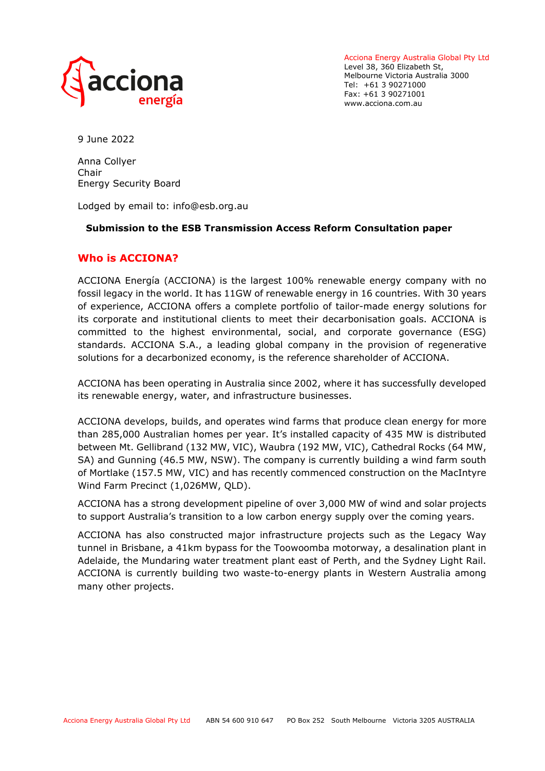

Acciona Energy Australia Global Pty Ltd Level 38, 360 Elizabeth St, Melbourne Victoria Australia 3000 Tel: +61 3 90271000 Fax: +61 3 90271001 www.acciona.com.au

9 June 2022

Anna Collyer Chair Energy Security Board

Lodged by email to: info@esb.org.au

## **Submission to the ESB Transmission Access Reform Consultation paper**

# **Who is ACCIONA?**

ACCIONA Energía (ACCIONA) is the largest 100% renewable energy company with no fossil legacy in the world. It has 11GW of renewable energy in 16 countries. With 30 years of experience, ACCIONA offers a complete portfolio of tailor-made energy solutions for its corporate and institutional clients to meet their decarbonisation goals. ACCIONA is committed to the highest environmental, social, and corporate governance (ESG) standards. ACCIONA S.A., a leading global company in the provision of regenerative solutions for a decarbonized economy, is the reference shareholder of ACCIONA.

ACCIONA has been operating in Australia since 2002, where it has successfully developed its renewable energy, water, and infrastructure businesses.

ACCIONA develops, builds, and operates wind farms that produce clean energy for more than 285,000 Australian homes per year. It's installed capacity of 435 MW is distributed between Mt. Gellibrand (132 MW, VIC), Waubra (192 MW, VIC), Cathedral Rocks (64 MW, SA) and Gunning (46.5 MW, NSW). The company is currently building a wind farm south of Mortlake (157.5 MW, VIC) and has recently commenced construction on the MacIntyre Wind Farm Precinct (1,026MW, QLD).

ACCIONA has a strong development pipeline of over 3,000 MW of wind and solar projects to support Australia's transition to a low carbon energy supply over the coming years.

ACCIONA has also constructed major infrastructure projects such as the Legacy Way tunnel in Brisbane, a 41km bypass for the Toowoomba motorway, a desalination plant in Adelaide, the Mundaring water treatment plant east of Perth, and the Sydney Light Rail. ACCIONA is currently building two waste-to-energy plants in Western Australia among many other projects.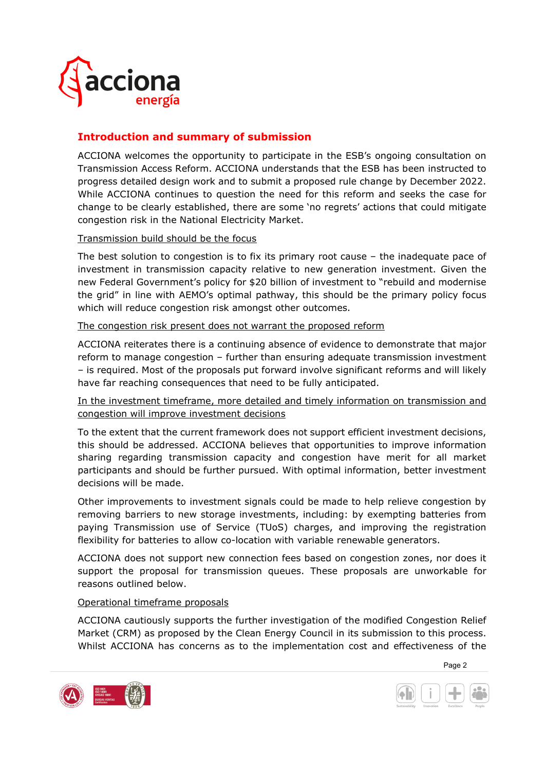

# **Introduction and summary of submission**

ACCIONA welcomes the opportunity to participate in the ESB's ongoing consultation on Transmission Access Reform. ACCIONA understands that the ESB has been instructed to progress detailed design work and to submit a proposed rule change by December 2022. While ACCIONA continues to question the need for this reform and seeks the case for change to be clearly established, there are some 'no regrets' actions that could mitigate congestion risk in the National Electricity Market.

#### Transmission build should be the focus

The best solution to congestion is to fix its primary root cause – the inadequate pace of investment in transmission capacity relative to new generation investment. Given the new Federal Government's policy for \$20 billion of investment to "rebuild and modernise the grid" in line with AEMO's optimal pathway, this should be the primary policy focus which will reduce congestion risk amongst other outcomes.

The congestion risk present does not warrant the proposed reform

ACCIONA reiterates there is a continuing absence of evidence to demonstrate that major reform to manage congestion – further than ensuring adequate transmission investment – is required. Most of the proposals put forward involve significant reforms and will likely have far reaching consequences that need to be fully anticipated.

In the investment timeframe, more detailed and timely information on transmission and congestion will improve investment decisions

To the extent that the current framework does not support efficient investment decisions, this should be addressed. ACCIONA believes that opportunities to improve information sharing regarding transmission capacity and congestion have merit for all market participants and should be further pursued. With optimal information, better investment decisions will be made.

Other improvements to investment signals could be made to help relieve congestion by removing barriers to new storage investments, including: by exempting batteries from paying Transmission use of Service (TUoS) charges, and improving the registration flexibility for batteries to allow co-location with variable renewable generators.

ACCIONA does not support new connection fees based on congestion zones, nor does it support the proposal for transmission queues. These proposals are unworkable for reasons outlined below.

#### Operational timeframe proposals

ACCIONA cautiously supports the further investigation of the modified Congestion Relief Market (CRM) as proposed by the Clean Energy Council in its submission to this process. Whilst ACCIONA has concerns as to the implementation cost and effectiveness of the



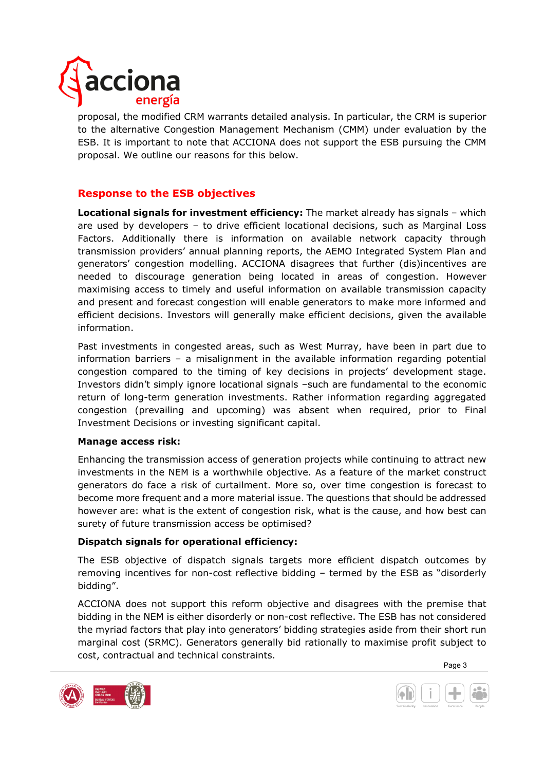

proposal, the modified CRM warrants detailed analysis. In particular, the CRM is superior to the alternative Congestion Management Mechanism (CMM) under evaluation by the ESB. It is important to note that ACCIONA does not support the ESB pursuing the CMM proposal. We outline our reasons for this below.

# **Response to the ESB objectives**

**Locational signals for investment efficiency:** The market already has signals – which are used by developers – to drive efficient locational decisions, such as Marginal Loss Factors. Additionally there is information on available network capacity through transmission providers' annual planning reports, the AEMO Integrated System Plan and generators' congestion modelling. ACCIONA disagrees that further (dis)incentives are needed to discourage generation being located in areas of congestion. However maximising access to timely and useful information on available transmission capacity and present and forecast congestion will enable generators to make more informed and efficient decisions. Investors will generally make efficient decisions, given the available information.

Past investments in congested areas, such as West Murray, have been in part due to information barriers – a misalignment in the available information regarding potential congestion compared to the timing of key decisions in projects' development stage. Investors didn't simply ignore locational signals –such are fundamental to the economic return of long-term generation investments. Rather information regarding aggregated congestion (prevailing and upcoming) was absent when required, prior to Final Investment Decisions or investing significant capital.

#### **Manage access risk:**

Enhancing the transmission access of generation projects while continuing to attract new investments in the NEM is a worthwhile objective. As a feature of the market construct generators do face a risk of curtailment. More so, over time congestion is forecast to become more frequent and a more material issue. The questions that should be addressed however are: what is the extent of congestion risk, what is the cause, and how best can surety of future transmission access be optimised?

## **Dispatch signals for operational efficiency:**

The ESB objective of dispatch signals targets more efficient dispatch outcomes by removing incentives for non-cost reflective bidding – termed by the ESB as "disorderly bidding".

ACCIONA does not support this reform objective and disagrees with the premise that bidding in the NEM is either disorderly or non-cost reflective. The ESB has not considered the myriad factors that play into generators' bidding strategies aside from their short run marginal cost (SRMC). Generators generally bid rationally to maximise profit subject to cost, contractual and technical constraints.



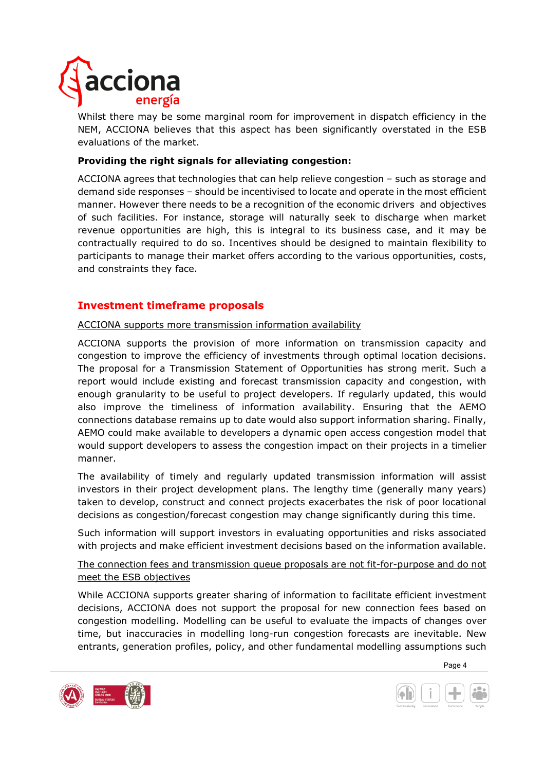

Whilst there may be some marginal room for improvement in dispatch efficiency in the NEM, ACCIONA believes that this aspect has been significantly overstated in the ESB evaluations of the market.

## **Providing the right signals for alleviating congestion:**

ACCIONA agrees that technologies that can help relieve congestion – such as storage and demand side responses – should be incentivised to locate and operate in the most efficient manner. However there needs to be a recognition of the economic drivers and objectives of such facilities. For instance, storage will naturally seek to discharge when market revenue opportunities are high, this is integral to its business case, and it may be contractually required to do so. Incentives should be designed to maintain flexibility to participants to manage their market offers according to the various opportunities, costs, and constraints they face.

## **Investment timeframe proposals**

ACCIONA supports more transmission information availability

ACCIONA supports the provision of more information on transmission capacity and congestion to improve the efficiency of investments through optimal location decisions. The proposal for a Transmission Statement of Opportunities has strong merit. Such a report would include existing and forecast transmission capacity and congestion, with enough granularity to be useful to project developers. If regularly updated, this would also improve the timeliness of information availability. Ensuring that the AEMO connections database remains up to date would also support information sharing. Finally, AEMO could make available to developers a dynamic open access congestion model that would support developers to assess the congestion impact on their projects in a timelier manner.

The availability of timely and regularly updated transmission information will assist investors in their project development plans. The lengthy time (generally many years) taken to develop, construct and connect projects exacerbates the risk of poor locational decisions as congestion/forecast congestion may change significantly during this time.

Such information will support investors in evaluating opportunities and risks associated with projects and make efficient investment decisions based on the information available.

## The connection fees and transmission queue proposals are not fit-for-purpose and do not meet the ESB objectives

While ACCIONA supports greater sharing of information to facilitate efficient investment decisions, ACCIONA does not support the proposal for new connection fees based on congestion modelling. Modelling can be useful to evaluate the impacts of changes over time, but inaccuracies in modelling long-run congestion forecasts are inevitable. New entrants, generation profiles, policy, and other fundamental modelling assumptions such



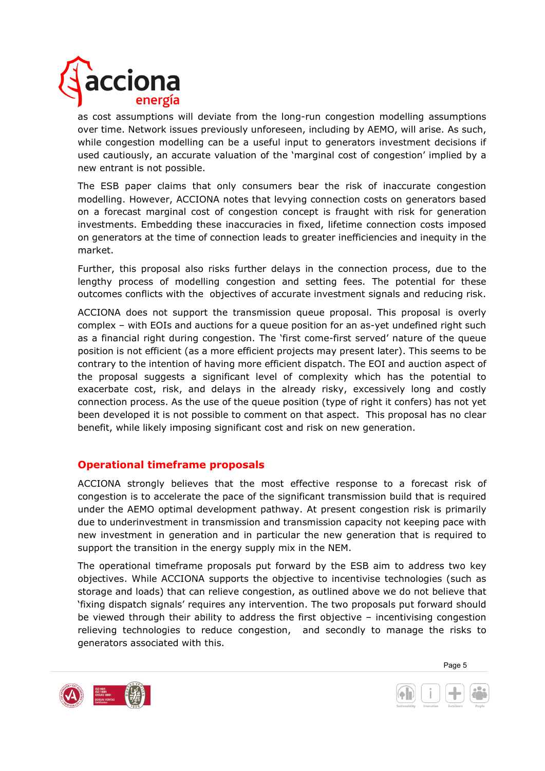

as cost assumptions will deviate from the long-run congestion modelling assumptions over time. Network issues previously unforeseen, including by AEMO, will arise. As such, while congestion modelling can be a useful input to generators investment decisions if used cautiously, an accurate valuation of the 'marginal cost of congestion' implied by a new entrant is not possible.

The ESB paper claims that only consumers bear the risk of inaccurate congestion modelling. However, ACCIONA notes that levying connection costs on generators based on a forecast marginal cost of congestion concept is fraught with risk for generation investments. Embedding these inaccuracies in fixed, lifetime connection costs imposed on generators at the time of connection leads to greater inefficiencies and inequity in the market.

Further, this proposal also risks further delays in the connection process, due to the lengthy process of modelling congestion and setting fees. The potential for these outcomes conflicts with the objectives of accurate investment signals and reducing risk.

ACCIONA does not support the transmission queue proposal. This proposal is overly complex – with EOIs and auctions for a queue position for an as-yet undefined right such as a financial right during congestion. The 'first come-first served' nature of the queue position is not efficient (as a more efficient projects may present later). This seems to be contrary to the intention of having more efficient dispatch. The EOI and auction aspect of the proposal suggests a significant level of complexity which has the potential to exacerbate cost, risk, and delays in the already risky, excessively long and costly connection process. As the use of the queue position (type of right it confers) has not yet been developed it is not possible to comment on that aspect. This proposal has no clear benefit, while likely imposing significant cost and risk on new generation.

## **Operational timeframe proposals**

ACCIONA strongly believes that the most effective response to a forecast risk of congestion is to accelerate the pace of the significant transmission build that is required under the AEMO optimal development pathway. At present congestion risk is primarily due to underinvestment in transmission and transmission capacity not keeping pace with new investment in generation and in particular the new generation that is required to support the transition in the energy supply mix in the NEM.

The operational timeframe proposals put forward by the ESB aim to address two key objectives. While ACCIONA supports the objective to incentivise technologies (such as storage and loads) that can relieve congestion, as outlined above we do not believe that 'fixing dispatch signals' requires any intervention. The two proposals put forward should be viewed through their ability to address the first objective – incentivising congestion relieving technologies to reduce congestion, and secondly to manage the risks to generators associated with this.



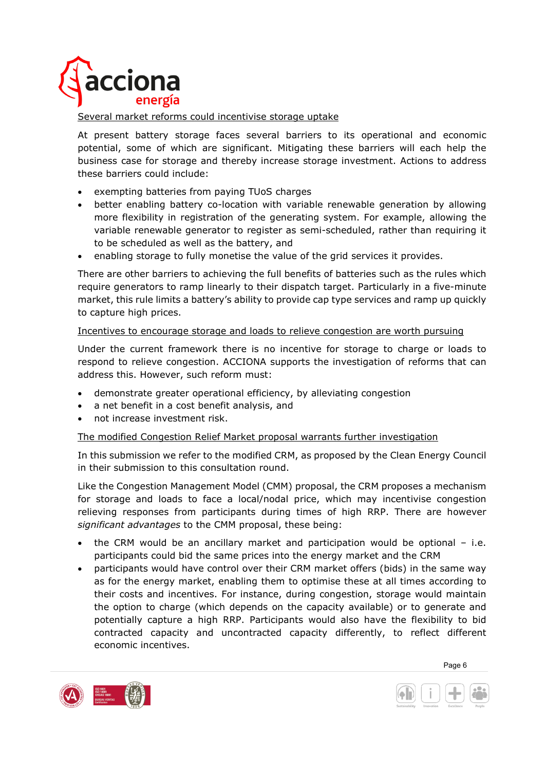

#### Several market reforms could incentivise storage uptake

At present battery storage faces several barriers to its operational and economic potential, some of which are significant. Mitigating these barriers will each help the business case for storage and thereby increase storage investment. Actions to address these barriers could include:

- exempting batteries from paying TUoS charges
- better enabling battery co-location with variable renewable generation by allowing more flexibility in registration of the generating system. For example, allowing the variable renewable generator to register as semi-scheduled, rather than requiring it to be scheduled as well as the battery, and
- enabling storage to fully monetise the value of the grid services it provides.

There are other barriers to achieving the full benefits of batteries such as the rules which require generators to ramp linearly to their dispatch target. Particularly in a five-minute market, this rule limits a battery's ability to provide cap type services and ramp up quickly to capture high prices.

#### Incentives to encourage storage and loads to relieve congestion are worth pursuing

Under the current framework there is no incentive for storage to charge or loads to respond to relieve congestion. ACCIONA supports the investigation of reforms that can address this. However, such reform must:

- demonstrate greater operational efficiency, by alleviating congestion
- a net benefit in a cost benefit analysis, and
- not increase investment risk.

#### The modified Congestion Relief Market proposal warrants further investigation

In this submission we refer to the modified CRM, as proposed by the Clean Energy Council in their submission to this consultation round.

Like the Congestion Management Model (CMM) proposal, the CRM proposes a mechanism for storage and loads to face a local/nodal price, which may incentivise congestion relieving responses from participants during times of high RRP. There are however *significant advantages* to the CMM proposal, these being:

- the CRM would be an ancillary market and participation would be optional  $-$  i.e. participants could bid the same prices into the energy market and the CRM
- participants would have control over their CRM market offers (bids) in the same way as for the energy market, enabling them to optimise these at all times according to their costs and incentives. For instance, during congestion, storage would maintain the option to charge (which depends on the capacity available) or to generate and potentially capture a high RRP. Participants would also have the flexibility to bid contracted capacity and uncontracted capacity differently, to reflect different economic incentives.



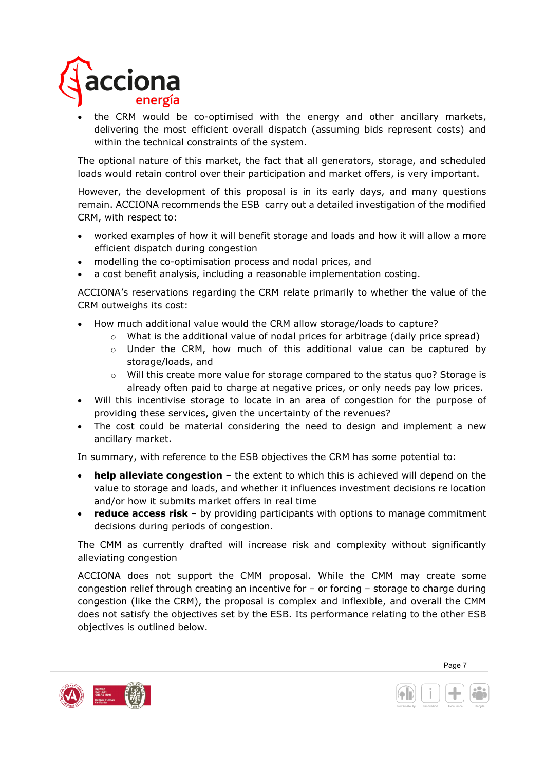

• the CRM would be co-optimised with the energy and other ancillary markets, delivering the most efficient overall dispatch (assuming bids represent costs) and within the technical constraints of the system.

The optional nature of this market, the fact that all generators, storage, and scheduled loads would retain control over their participation and market offers, is very important.

However, the development of this proposal is in its early days, and many questions remain. ACCIONA recommends the ESB carry out a detailed investigation of the modified CRM, with respect to:

- worked examples of how it will benefit storage and loads and how it will allow a more efficient dispatch during congestion
- modelling the co-optimisation process and nodal prices, and
- a cost benefit analysis, including a reasonable implementation costing.

ACCIONA's reservations regarding the CRM relate primarily to whether the value of the CRM outweighs its cost:

- How much additional value would the CRM allow storage/loads to capture?
	- $\circ$  What is the additional value of nodal prices for arbitrage (daily price spread)
	- $\circ$  Under the CRM, how much of this additional value can be captured by storage/loads, and
	- o Will this create more value for storage compared to the status quo? Storage is already often paid to charge at negative prices, or only needs pay low prices.
- Will this incentivise storage to locate in an area of congestion for the purpose of providing these services, given the uncertainty of the revenues?
- The cost could be material considering the need to design and implement a new ancillary market.

In summary, with reference to the ESB objectives the CRM has some potential to:

- **help alleviate congestion** the extent to which this is achieved will depend on the value to storage and loads, and whether it influences investment decisions re location and/or how it submits market offers in real time
- **reduce access risk** by providing participants with options to manage commitment decisions during periods of congestion.

## The CMM as currently drafted will increase risk and complexity without significantly alleviating congestion

ACCIONA does not support the CMM proposal. While the CMM may create some congestion relief through creating an incentive for – or forcing – storage to charge during congestion (like the CRM), the proposal is complex and inflexible, and overall the CMM does not satisfy the objectives set by the ESB. Its performance relating to the other ESB objectives is outlined below.